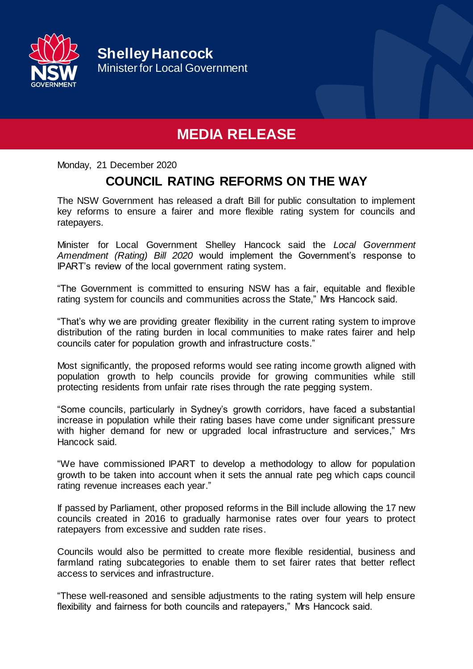

**Shelley Hancock** Minister for Local Government

## **MEDIA RELEASE**

Monday, 21 December 2020

## **COUNCIL RATING REFORMS ON THE WAY**

The NSW Government has released a draft Bill for public consultation to implement key reforms to ensure a fairer and more flexible rating system for councils and ratepayers*.*

Minister for Local Government Shelley Hancock said the *Local Government Amendment (Rating) Bill 2020* would implement the Government's response to IPART's review of the local government rating system.

"The Government is committed to ensuring NSW has a fair, equitable and flexible rating system for councils and communities across the State," Mrs Hancock said.

"That's why we are providing greater flexibility in the current rating system to improve distribution of the rating burden in local communities to make rates fairer and help councils cater for population growth and infrastructure costs."

Most significantly, the proposed reforms would see rating income growth aligned with population growth to help councils provide for growing communities while still protecting residents from unfair rate rises through the rate pegging system.

"Some councils, particularly in Sydney's growth corridors, have faced a substantial increase in population while their rating bases have come under significant pressure with higher demand for new or upgraded local infrastructure and services," Mrs Hancock said.

"We have commissioned IPART to develop a methodology to allow for population growth to be taken into account when it sets the annual rate peg which caps council rating revenue increases each year."

If passed by Parliament, other proposed reforms in the Bill include allowing the 17 new councils created in 2016 to gradually harmonise rates over four years to protect ratepayers from excessive and sudden rate rises.

Councils would also be permitted to create more flexible residential, business and farmland rating subcategories to enable them to set fairer rates that better reflect access to services and infrastructure.

"These well-reasoned and sensible adjustments to the rating system will help ensure flexibility and fairness for both councils and ratepayers," Mrs Hancock said.